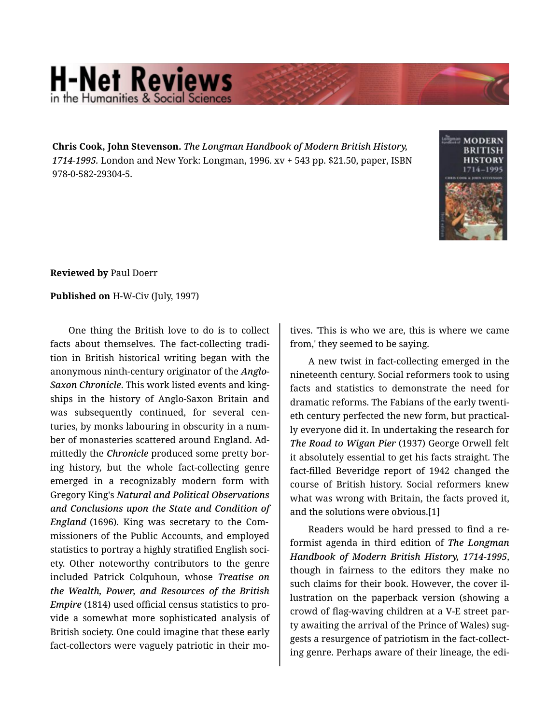## **H-Net Reviews** in the Humanities & Social Scie

**Chris Cook, John Stevenson.** *The Longman Handbook of Modern British History, 1714-1995.* London and New York: Longman, 1996. xv + 543 pp. \$21.50, paper, ISBN 978-0-582-29304-5.



**Reviewed by** Paul Doerr

## **Published on** H-W-Civ (July, 1997)

One thing the British love to do is to collect facts about themselves. The fact-collecting tradi‐ tion in British historical writing began with the anonymous ninth-century originator of the *Anglo-Saxon Chronicle*. This work listed events and king‐ ships in the history of Anglo-Saxon Britain and was subsequently continued, for several cen‐ turies, by monks labouring in obscurity in a num‐ ber of monasteries scattered around England. Ad‐ mittedly the *Chronicle* produced some pretty bor‐ ing history, but the whole fact-collecting genre emerged in a recognizably modern form with Gregory King's *Natural and Political Observations and Conclusions upon the State and Condition of England* (1696). King was secretary to the Com‐ missioners of the Public Accounts, and employed statistics to portray a highly stratified English soci‐ ety. Other noteworthy contributors to the genre included Patrick Colquhoun, whose *Treatise on the Wealth, Power, and Resources of the British Empire* (1814) used official census statistics to pro‐ vide a somewhat more sophisticated analysis of British society. One could imagine that these early fact-collectors were vaguely patriotic in their mo‐

tives. 'This is who we are, this is where we came from,' they seemed to be saying.

A new twist in fact-collecting emerged in the nineteenth century. Social reformers took to using facts and statistics to demonstrate the need for dramatic reforms. The Fabians of the early twenti‐ eth century perfected the new form, but practical‐ ly everyone did it. In undertaking the research for *The Road to Wigan Pier* (1937) George Orwell felt it absolutely essential to get his facts straight. The fact-filled Beveridge report of 1942 changed the course of British history. Social reformers knew what was wrong with Britain, the facts proved it, and the solutions were obvious.[1]

Readers would be hard pressed to find a re‐ formist agenda in third edition of *The Longman Handbook of Modern British History, 1714-1995*, though in fairness to the editors they make no such claims for their book. However, the cover il‐ lustration on the paperback version (showing a crowd of flag-waving children at a V-E street par‐ ty awaiting the arrival of the Prince of Wales) sug‐ gests a resurgence of patriotism in the fact-collect‐ ing genre. Perhaps aware of their lineage, the edi‐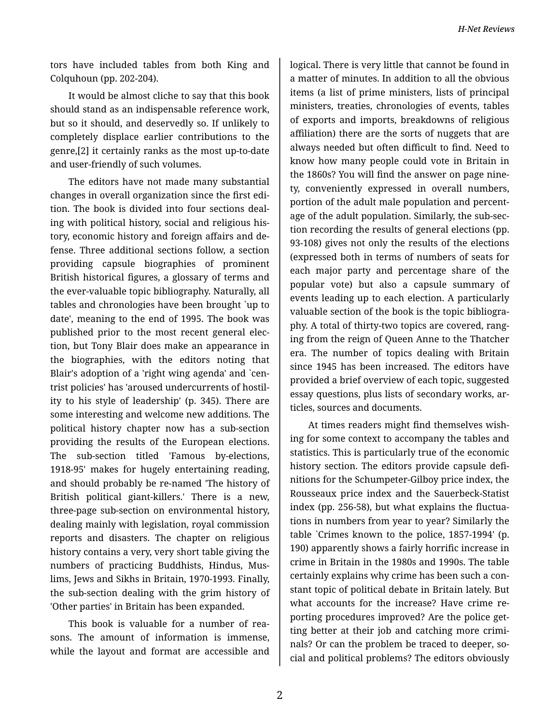tors have included tables from both King and Colquhoun (pp. 202-204).

It would be almost cliche to say that this book should stand as an indispensable reference work, but so it should, and deservedly so. If unlikely to completely displace earlier contributions to the genre,[2] it certainly ranks as the most up-to-date and user-friendly of such volumes.

The editors have not made many substantial changes in overall organization since the first edi‐ tion. The book is divided into four sections deal‐ ing with political history, social and religious his‐ tory, economic history and foreign affairs and de‐ fense. Three additional sections follow, a section providing capsule biographies of prominent British historical figures, a glossary of terms and the ever-valuable topic bibliography. Naturally, all tables and chronologies have been brought `up to date', meaning to the end of 1995. The book was published prior to the most recent general elec‐ tion, but Tony Blair does make an appearance in the biographies, with the editors noting that Blair's adoption of a 'right wing agenda' and `cen‐ trist policies' has 'aroused undercurrents of hostil‐ ity to his style of leadership' (p. 345). There are some interesting and welcome new additions. The political history chapter now has a sub-section providing the results of the European elections. The sub-section titled 'Famous by-elections, 1918-95' makes for hugely entertaining reading, and should probably be re-named 'The history of British political giant-killers.' There is a new, three-page sub-section on environmental history, dealing mainly with legislation, royal commission reports and disasters. The chapter on religious history contains a very, very short table giving the numbers of practicing Buddhists, Hindus, Mus‐ lims, Jews and Sikhs in Britain, 1970-1993. Finally, the sub-section dealing with the grim history of 'Other parties' in Britain has been expanded.

This book is valuable for a number of rea‐ sons. The amount of information is immense, while the layout and format are accessible and

logical. There is very little that cannot be found in a matter of minutes. In addition to all the obvious items (a list of prime ministers, lists of principal ministers, treaties, chronologies of events, tables of exports and imports, breakdowns of religious affiliation) there are the sorts of nuggets that are always needed but often difficult to find. Need to know how many people could vote in Britain in the 1860s? You will find the answer on page nine‐ ty, conveniently expressed in overall numbers, portion of the adult male population and percent‐ age of the adult population. Similarly, the sub-sec‐ tion recording the results of general elections (pp. 93-108) gives not only the results of the elections (expressed both in terms of numbers of seats for each major party and percentage share of the popular vote) but also a capsule summary of events leading up to each election. A particularly valuable section of the book is the topic bibliogra‐ phy. A total of thirty-two topics are covered, rang‐ ing from the reign of Queen Anne to the Thatcher era. The number of topics dealing with Britain since 1945 has been increased. The editors have provided a brief overview of each topic, suggested essay questions, plus lists of secondary works, ar‐ ticles, sources and documents.

At times readers might find themselves wish‐ ing for some context to accompany the tables and statistics. This is particularly true of the economic history section. The editors provide capsule defi‐ nitions for the Schumpeter-Gilboy price index, the Rousseaux price index and the Sauerbeck-Statist index (pp. 256-58), but what explains the fluctua‐ tions in numbers from year to year? Similarly the table `Crimes known to the police, 1857-1994' (p. 190) apparently shows a fairly horrific increase in crime in Britain in the 1980s and 1990s. The table certainly explains why crime has been such a con‐ stant topic of political debate in Britain lately. But what accounts for the increase? Have crime re‐ porting procedures improved? Are the police get‐ ting better at their job and catching more crimi‐ nals? Or can the problem be traced to deeper, social and political problems? The editors obviously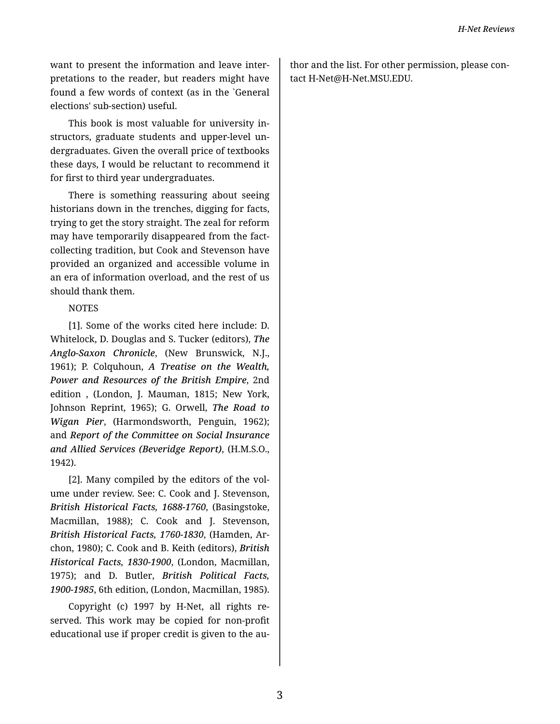want to present the information and leave inter‐ pretations to the reader, but readers might have found a few words of context (as in the `General elections' sub-section) useful.

This book is most valuable for university in‐ structors, graduate students and upper-level un‐ dergraduates. Given the overall price of textbooks these days, I would be reluctant to recommend it for first to third year undergraduates.

There is something reassuring about seeing historians down in the trenches, digging for facts, trying to get the story straight. The zeal for reform may have temporarily disappeared from the factcollecting tradition, but Cook and Stevenson have provided an organized and accessible volume in an era of information overload, and the rest of us should thank them.

## NOTES

[1]. Some of the works cited here include: D. Whitelock, D. Douglas and S. Tucker (editors), *The Anglo-Saxon Chronicle*, (New Brunswick, N.J., 1961); P. Colquhoun, *A Treatise on the Wealth, Power and Resources of the British Empire*, 2nd edition , (London, J. Mauman, 1815; New York, Johnson Reprint, 1965); G. Orwell, *The Road to Wigan Pier*, (Harmondsworth, Penguin, 1962); and *Report of the Committee on Social Insurance and Allied Services (Beveridge Report)*, (H.M.S.O., 1942).

[2]. Many compiled by the editors of the vol‐ ume under review. See: C. Cook and J. Stevenson, *British Historical Facts, 1688-1760*, (Basingstoke, Macmillan, 1988); C. Cook and J. Stevenson, *British Historical Facts, 1760-1830*, (Hamden, Ar‐ chon, 1980); C. Cook and B. Keith (editors), *British Historical Facts, 1830-1900*, (London, Macmillan, 1975); and D. Butler, *British Political Facts, 1900-1985*, 6th edition, (London, Macmillan, 1985).

Copyright (c) 1997 by H-Net, all rights re‐ served. This work may be copied for non-profit educational use if proper credit is given to the au‐

thor and the list. For other permission, please con‐ tact H-Net@H-Net.MSU.EDU.